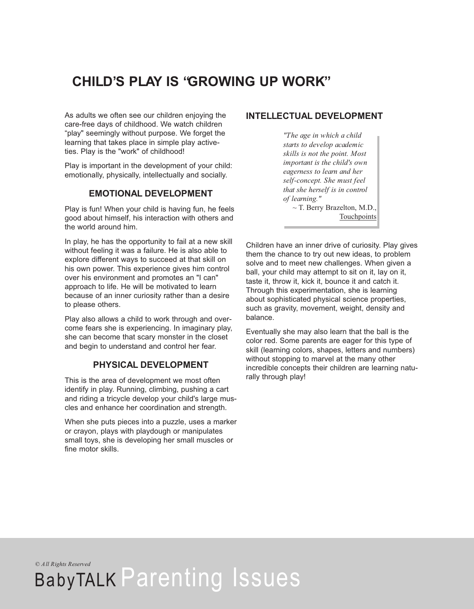# **CHILD'S PLAY IS "GROWING UP WORK"**

As adults we often see our children enjoying the care-free days of childhood. We watch children "play" seemingly without purpose. We forget the learning that takes place in simple play activeties. Play is the "work" of childhood!

Play is important in the development of your child: emotionally, physically, intellectually and socially.

#### **EMOTIONAL DEVELOPMENT**

Play is fun! When your child is having fun, he feels good about himself, his interaction with others and the world around him.

In play, he has the opportunity to fail at a new skill without feeling it was a failure. He is also able to explore different ways to succeed at that skill on his own power. This experience gives him control over his environment and promotes an "I can" approach to life. He will be motivated to learn because of an inner curiosity rather than a desire to please others.

Play also allows a child to work through and overcome fears she is experiencing. In imaginary play, she can become that scary monster in the closet and begin to understand and control her fear.

## **PHYSICAL DEVELOPMENT**

This is the area of development we most often identify in play. Running, climbing, pushing a cart and riding a tricycle develop your child's large muscles and enhance her coordination and strength.

When she puts pieces into a puzzle, uses a marker or crayon, plays with playdough or manipulates small toys, she is developing her small muscles or fine motor skills.

#### **INTELLECTUAL DEVELOPMENT**

*"The age in which a child starts to develop academic skills is not the point. Most important is the child's own eagerness to learn and her self-concept. She must feel that she herself is in control of learning."* ~ T. Berry Brazelton, M.D., Touchpoints

Children have an inner drive of curiosity. Play gives them the chance to try out new ideas, to problem solve and to meet new challenges. When given a ball, your child may attempt to sit on it, lay on it, taste it, throw it, kick it, bounce it and catch it. Through this experimentation, she is learning about sophisticated physical science properties, such as gravity, movement, weight, density and balance.

Eventually she may also learn that the ball is the color red. Some parents are eager for this type of skill (learning colors, shapes, letters and numbers) without stopping to marvel at the many other incredible concepts their children are learning naturally through play!

*© All Rights Reserved*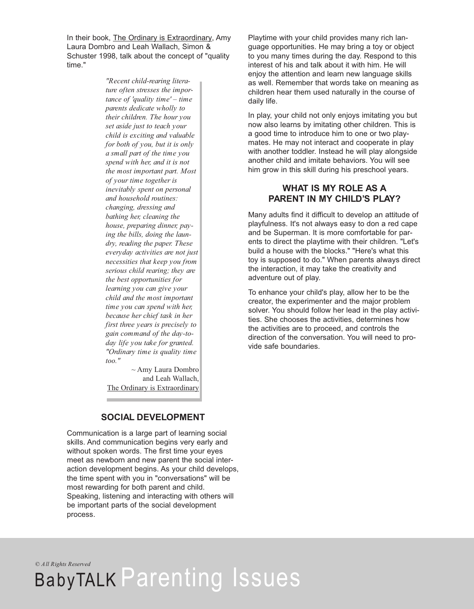In their book, The Ordinary is Extraordinary, Amy Laura Dombro and Leah Wallach, Simon & Schuster 1998, talk about the concept of "quality time."

> *"Recent child-rearing literature often stresses the importance of 'quality time' – time parents dedicate wholly to their children. The hour you set aside just to teach your child is exciting and valuable for both of you, but it is only a small part of the time you spend with her, and it is not the most important part. Most of your time together is inevitably spent on personal and household routines: changing, dressing and bathing her, cleaning the house, preparing dinner, paying the bills, doing the laundry, reading the paper. These everyday activities are not just necessities that keep you from serious child rearing; they are the best opportunities for learning you can give your child and the most important time you can spend with her, because her chief task in her first three years is precisely to gain command of the day-today life you take for granted. "Ordinary time is quality time too."*

~ Amy Laura Dombro and Leah Wallach, The Ordinary is Extraordinary

### **SOCIAL DEVELOPMENT**

Communication is a large part of learning social skills. And communication begins very early and without spoken words. The first time your eyes meet as newborn and new parent the social interaction development begins. As your child develops, the time spent with you in "conversations" will be most rewarding for both parent and child. Speaking, listening and interacting with others will be important parts of the social development process.

Playtime with your child provides many rich language opportunities. He may bring a toy or object to you many times during the day. Respond to this interest of his and talk about it with him. He will enjoy the attention and learn new language skills as well. Remember that words take on meaning as children hear them used naturally in the course of daily life.

In play, your child not only enjoys imitating you but now also learns by imitating other children. This is a good time to introduce him to one or two playmates. He may not interact and cooperate in play with another toddler. Instead he will play alongside another child and imitate behaviors. You will see him grow in this skill during his preschool years.

# **WHAT IS MY ROLE AS A PARENT IN MY CHILD'S PLAY?**

Many adults find it difficult to develop an attitude of playfulness. It's not always easy to don a red cape and be Superman. It is more comfortable for parents to direct the playtime with their children. "Let's build a house with the blocks." "Here's what this toy is supposed to do." When parents always direct the interaction, it may take the creativity and adventure out of play.

To enhance your child's play, allow her to be the creator, the experimenter and the major problem solver. You should follow her lead in the play activities. She chooses the activities, determines how the activities are to proceed, and controls the direction of the conversation. You will need to provide safe boundaries.

*© All Rights Reserved*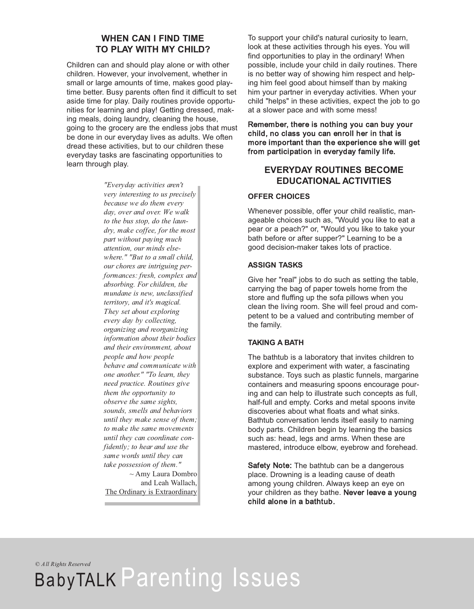# **WHEN CAN I FIND TIME TO PLAY WITH MY CHILD?**

Children can and should play alone or with other children. However, your involvement, whether in small or large amounts of time, makes good playtime better. Busy parents often find it difficult to set aside time for play. Daily routines provide opportunities for learning and play! Getting dressed, making meals, doing laundry, cleaning the house, going to the grocery are the endless jobs that must be done in our everyday lives as adults. We often dread these activities, but to our children these everyday tasks are fascinating opportunities to learn through play.

> *"Everyday activities aren't very interesting to us precisely because we do them every day, over and over. We walk to the bus stop, do the laundry, make coffee, for the most part without paying much attention, our minds elsewhere." "But to a small child, our chores are intriguing performances: fresh, complex and absorbing. For children, the mundane is new, unclassified territory, and it's magical. They set about exploring every day by collecting, organizing and reorganizing information about their bodies and their environment, about people and how people behave and communicate with one another." "To learn, they need practice. Routines give them the opportunity to observe the same sights, sounds, smells and behaviors until they make sense of them; to make the same movements until they can coordinate confidently; to hear and use the same words until they can take possession of them."*  $\sim$  Amy Laura Dombro

and Leah Wallach, The Ordinary is Extraordinary To support your child's natural curiosity to learn, look at these activities through his eyes. You will find opportunities to play in the ordinary! When possible, include your child in daily routines. There is no better way of showing him respect and helping him feel good about himself than by making him your partner in everyday activities. When your child "helps" in these activities, expect the job to go at a slower pace and with some mess!

Remember, there is nothing you can buy your child, no class you can enroll her in that is more important than the experience she will get from participation in everyday family life.

# **EVERYDAY ROUTINES BECOME EDUCATIONAL ACTIVITIES**

#### **OFFER CHOICES**

Whenever possible, offer your child realistic, manageable choices such as, "Would you like to eat a pear or a peach?" or, "Would you like to take your bath before or after supper?" Learning to be a good decision-maker takes lots of practice.

#### **ASSIGN TASKS**

Give her "real" jobs to do such as setting the table, carrying the bag of paper towels home from the store and fluffing up the sofa pillows when you clean the living room. She will feel proud and competent to be a valued and contributing member of the family.

#### **TAKING A BATH**

The bathtub is a laboratory that invites children to explore and experiment with water, a fascinating substance. Toys such as plastic funnels, margarine containers and measuring spoons encourage pouring and can help to illustrate such concepts as full, half-full and empty. Corks and metal spoons invite discoveries about what floats and what sinks. Bathtub conversation lends itself easily to naming body parts. Children begin by learning the basics such as: head, legs and arms. When these are mastered, introduce elbow, eyebrow and forehead.

Safety Note: The bathtub can be a dangerous place. Drowning is a leading cause of death among young children. Always keep an eye on your children as they bathe. Never leave a young child alone in a bathtub.

*© All Rights Reserved*